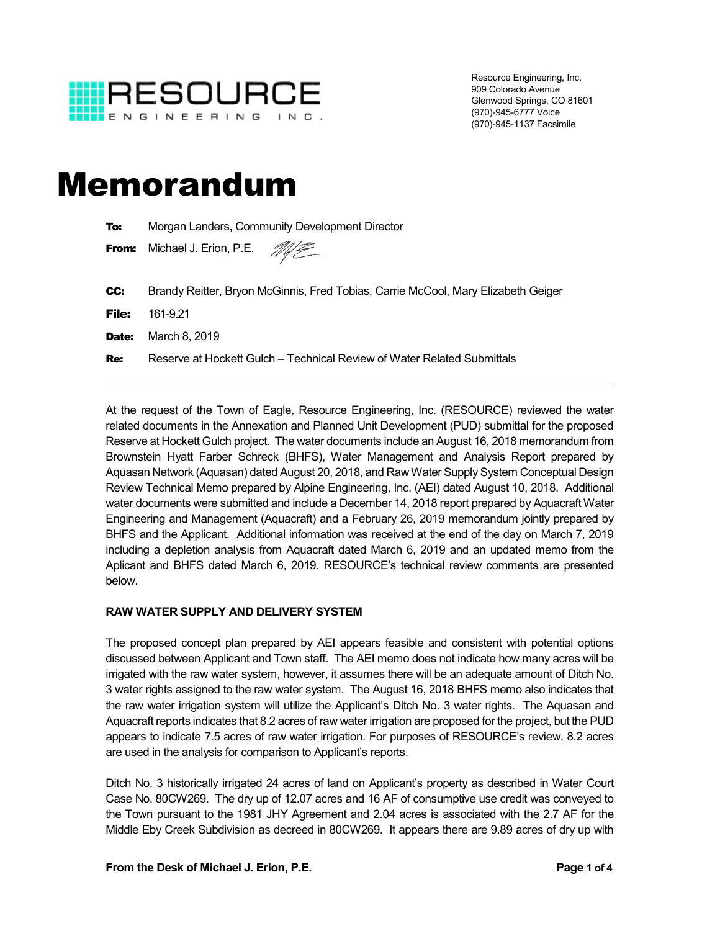

Resource Engineering, Inc. 909 Colorado Avenue Glenwood Springs, CO 81601 (970)-945-6777 Voice (970)-945-1137 Facsimile

# Memorandum

| To:          | Morgan Landers, Community Development Director                                    |
|--------------|-----------------------------------------------------------------------------------|
| From:        | Michael J. Erion, P.E. <b>My</b>                                                  |
|              |                                                                                   |
| CC:          | Brandy Reitter, Bryon McGinnis, Fred Tobias, Carrie McCool, Mary Elizabeth Geiger |
| File:        | 161-9.21                                                                          |
| <b>Date:</b> | March 8, 2019                                                                     |
| <b>Re:</b>   | Reserve at Hockett Gulch – Technical Review of Water Related Submittals           |

At the request of the Town of Eagle, Resource Engineering, Inc. (RESOURCE) reviewed the water related documents in the Annexation and Planned Unit Development (PUD) submittal for the proposed Reserve at Hockett Gulch project. The water documents include an August 16, 2018 memorandum from Brownstein Hyatt Farber Schreck (BHFS), Water Management and Analysis Report prepared by Aquasan Network (Aquasan) dated August 20, 2018, and Raw Water Supply System Conceptual Design Review Technical Memo prepared by Alpine Engineering, Inc. (AEI) dated August 10, 2018. Additional water documents were submitted and include a December 14, 2018 report prepared by Aquacraft Water Engineering and Management (Aquacraft) and a February 26, 2019 memorandum jointly prepared by BHFS and the Applicant. Additional information was received at the end of the day on March 7, 2019 including a depletion analysis from Aquacraft dated March 6, 2019 and an updated memo from the Aplicant and BHFS dated March 6, 2019. RESOURCE's technical review comments are presented below.

#### **RAW WATER SUPPLY AND DELIVERY SYSTEM**

The proposed concept plan prepared by AEI appears feasible and consistent with potential options discussed between Applicant and Town staff. The AEI memo does not indicate how many acres will be irrigated with the raw water system, however, it assumes there will be an adequate amount of Ditch No. 3 water rights assigned to the raw water system. The August 16, 2018 BHFS memo also indicates that the raw water irrigation system will utilize the Applicant's Ditch No. 3 water rights. The Aquasan and Aquacraft reports indicates that 8.2 acres of raw water irrigation are proposed for the project, but the PUD appears to indicate 7.5 acres of raw water irrigation. For purposes of RESOURCE's review, 8.2 acres are used in the analysis for comparison to Applicant's reports.

Ditch No. 3 historically irrigated 24 acres of land on Applicant's property as described in Water Court Case No. 80CW269. The dry up of 12.07 acres and 16 AF of consumptive use credit was conveyed to the Town pursuant to the 1981 JHY Agreement and 2.04 acres is associated with the 2.7 AF for the Middle Eby Creek Subdivision as decreed in 80CW269. It appears there are 9.89 acres of dry up with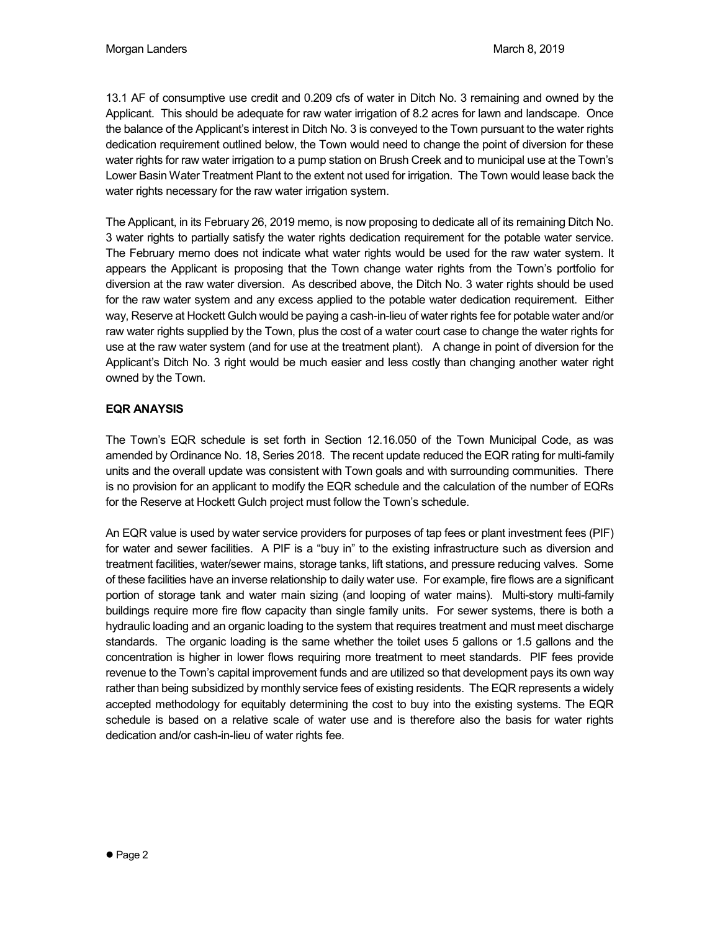13.1 AF of consumptive use credit and 0.209 cfs of water in Ditch No. 3 remaining and owned by the Applicant. This should be adequate for raw water irrigation of 8.2 acres for lawn and landscape. Once the balance of the Applicant's interest in Ditch No. 3 is conveyed to the Town pursuant to the water rights dedication requirement outlined below, the Town would need to change the point of diversion for these water rights for raw water irrigation to a pump station on Brush Creek and to municipal use at the Town's Lower Basin Water Treatment Plant to the extent not used for irrigation. The Town would lease back the water rights necessary for the raw water irrigation system.

The Applicant, in its February 26, 2019 memo, is now proposing to dedicate all of its remaining Ditch No. 3 water rights to partially satisfy the water rights dedication requirement for the potable water service. The February memo does not indicate what water rights would be used for the raw water system. It appears the Applicant is proposing that the Town change water rights from the Town's portfolio for diversion at the raw water diversion. As described above, the Ditch No. 3 water rights should be used for the raw water system and any excess applied to the potable water dedication requirement. Either way, Reserve at Hockett Gulch would be paying a cash-in-lieu of water rights fee for potable water and/or raw water rights supplied by the Town, plus the cost of a water court case to change the water rights for use at the raw water system (and for use at the treatment plant). A change in point of diversion for the Applicant's Ditch No. 3 right would be much easier and less costly than changing another water right owned by the Town.

## **EQR ANAYSIS**

The Town's EQR schedule is set forth in Section 12.16.050 of the Town Municipal Code, as was amended by Ordinance No. 18, Series 2018. The recent update reduced the EQR rating for multi-family units and the overall update was consistent with Town goals and with surrounding communities. There is no provision for an applicant to modify the EQR schedule and the calculation of the number of EQRs for the Reserve at Hockett Gulch project must follow the Town's schedule.

An EQR value is used by water service providers for purposes of tap fees or plant investment fees (PIF) for water and sewer facilities. A PIF is a "buy in" to the existing infrastructure such as diversion and treatment facilities, water/sewer mains, storage tanks, lift stations, and pressure reducing valves. Some of these facilities have an inverse relationship to daily water use. For example, fire flows are a significant portion of storage tank and water main sizing (and looping of water mains). Multi-story multi-family buildings require more fire flow capacity than single family units. For sewer systems, there is both a hydraulic loading and an organic loading to the system that requires treatment and must meet discharge standards. The organic loading is the same whether the toilet uses 5 gallons or 1.5 gallons and the concentration is higher in lower flows requiring more treatment to meet standards. PIF fees provide revenue to the Town's capital improvement funds and are utilized so that development pays its own way rather than being subsidized by monthly service fees of existing residents. The EQR represents a widely accepted methodology for equitably determining the cost to buy into the existing systems. The EQR schedule is based on a relative scale of water use and is therefore also the basis for water rights dedication and/or cash-in-lieu of water rights fee.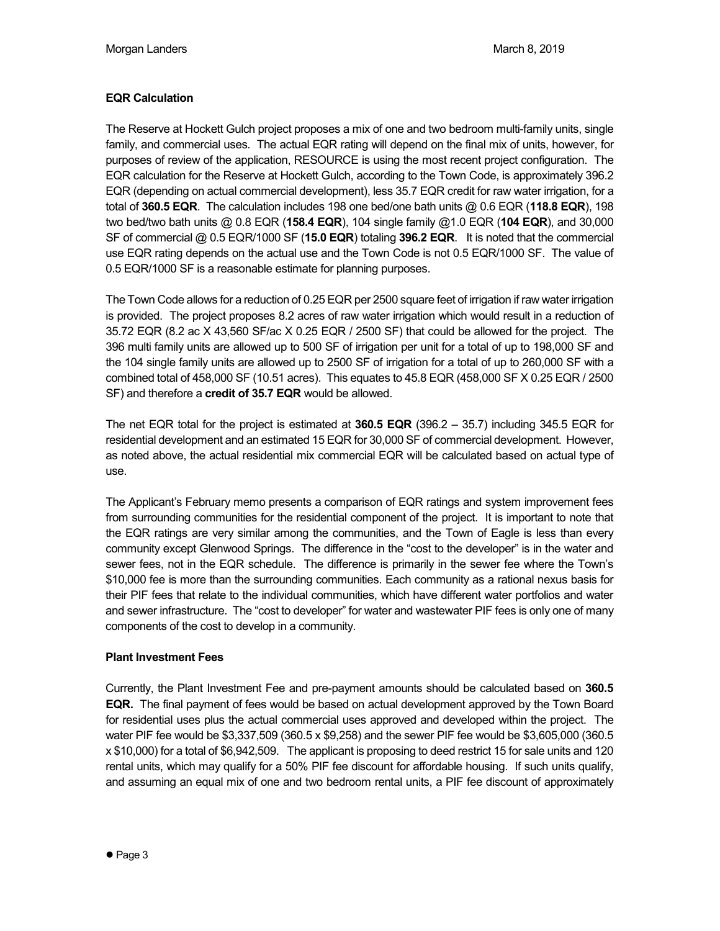# **EQR Calculation**

The Reserve at Hockett Gulch project proposes a mix of one and two bedroom multi-family units, single family, and commercial uses. The actual EQR rating will depend on the final mix of units, however, for purposes of review of the application, RESOURCE is using the most recent project configuration. The EQR calculation for the Reserve at Hockett Gulch, according to the Town Code, is approximately 396.2 EQR (depending on actual commercial development), less 35.7 EQR credit for raw water irrigation, for a total of **360.5 EQR**. The calculation includes 198 one bed/one bath units @ 0.6 EQR (**118.8 EQR**), 198 two bed/two bath units @ 0.8 EQR (**158.4 EQR**), 104 single family @1.0 EQR (**104 EQR**), and 30,000 SF of commercial @ 0.5 EQR/1000 SF (**15.0 EQR**) totaling **396.2 EQR**. It is noted that the commercial use EQR rating depends on the actual use and the Town Code is not 0.5 EQR/1000 SF. The value of 0.5 EQR/1000 SF is a reasonable estimate for planning purposes.

The Town Code allows for a reduction of 0.25 EQR per 2500 square feet of irrigation if raw water irrigation is provided. The project proposes 8.2 acres of raw water irrigation which would result in a reduction of 35.72 EQR (8.2 ac X 43,560 SF/ac X 0.25 EQR / 2500 SF) that could be allowed for the project. The 396 multi family units are allowed up to 500 SF of irrigation per unit for a total of up to 198,000 SF and the 104 single family units are allowed up to 2500 SF of irrigation for a total of up to 260,000 SF with a combined total of 458,000 SF (10.51 acres). This equates to 45.8 EQR (458,000 SF X 0.25 EQR / 2500 SF) and therefore a **credit of 35.7 EQR** would be allowed.

The net EQR total for the project is estimated at **360.5 EQR** (396.2 – 35.7) including 345.5 EQR for residential development and an estimated 15 EQR for 30,000 SF of commercial development. However, as noted above, the actual residential mix commercial EQR will be calculated based on actual type of use.

The Applicant's February memo presents a comparison of EQR ratings and system improvement fees from surrounding communities for the residential component of the project. It is important to note that the EQR ratings are very similar among the communities, and the Town of Eagle is less than every community except Glenwood Springs. The difference in the "cost to the developer" is in the water and sewer fees, not in the EQR schedule. The difference is primarily in the sewer fee where the Town's \$10,000 fee is more than the surrounding communities. Each community as a rational nexus basis for their PIF fees that relate to the individual communities, which have different water portfolios and water and sewer infrastructure. The "cost to developer" for water and wastewater PIF fees is only one of many components of the cost to develop in a community.

## **Plant Investment Fees**

Currently, the Plant Investment Fee and pre-payment amounts should be calculated based on **360.5 EQR.** The final payment of fees would be based on actual development approved by the Town Board for residential uses plus the actual commercial uses approved and developed within the project. The water PIF fee would be \$3,337,509 (360.5 x \$9,258) and the sewer PIF fee would be \$3,605,000 (360.5 x \$10,000) for a total of \$6,942,509. The applicant is proposing to deed restrict 15 for sale units and 120 rental units, which may qualify for a 50% PIF fee discount for affordable housing. If such units qualify, and assuming an equal mix of one and two bedroom rental units, a PIF fee discount of approximately